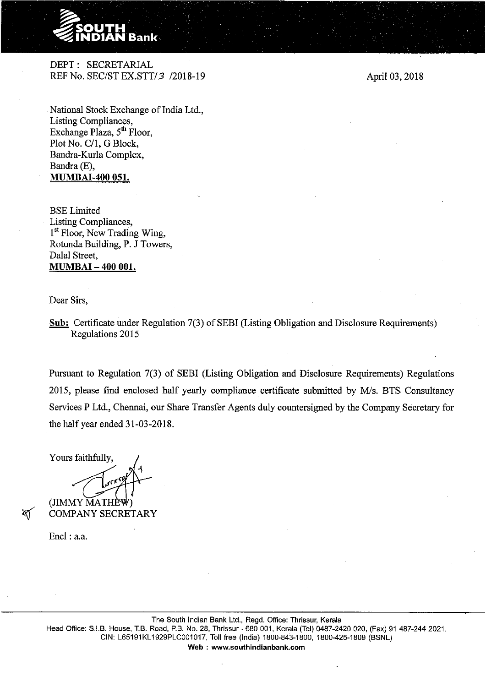

DEPT: SECRETARIAL REF No. SEC/STEX.STT/3 /2018-19

April 03, 2018

National Stock Exchange of India Ltd., Listing Compliances, Exchange Plaza, 5<sup>th</sup> Floor, Plot No. C/1, G Block, Bandra-Kurla Complex, Bandra (E), **MUMBAI-400 051.** 

BSELimited Listing Compliances, 1<sup>st</sup> Floor, New Trading Wing, Rotunda Building, P. J Towers, Dalal Street, **MUMBAI- 400 001.** 

Dear Sirs,

**<u>Sub:</u>** Certificate under Regulation 7(3) of SEBI (Listing Obligation and Disclosure Requirements) Regulations 2015

Pursuant to Regulation 7(3) of SEBI (Listing Obligation and Disclosure Requirements) Regulations 2015, please find enclosed half yearly compliance certificate submitted by M/s. BTS Consultancy Services P Ltd., Chennai, our Share Transfer Agents duly countersigned by the Company Secretary for the half year ended 31-03-2018.

Yours faithfully, (JIMMY MATH

COMPANY SECRETARY

Encl: a.a.

 $\propto$ 

The South Indian Bank Ltd., Regd. Office: Thrissur, Kerala Head Office: S.I.B. House, T.B. Road, P.B. No. 28, Thrissur- 680 001, Kerala (Tel) 0487-2420 020, (Fax) 91 487-244 2021. CIN: L65191KL1929PLC001017, Toll free (India) 1800·843-1800, 1800-425-1809 (BSNL) Web : www.southindianbank.com